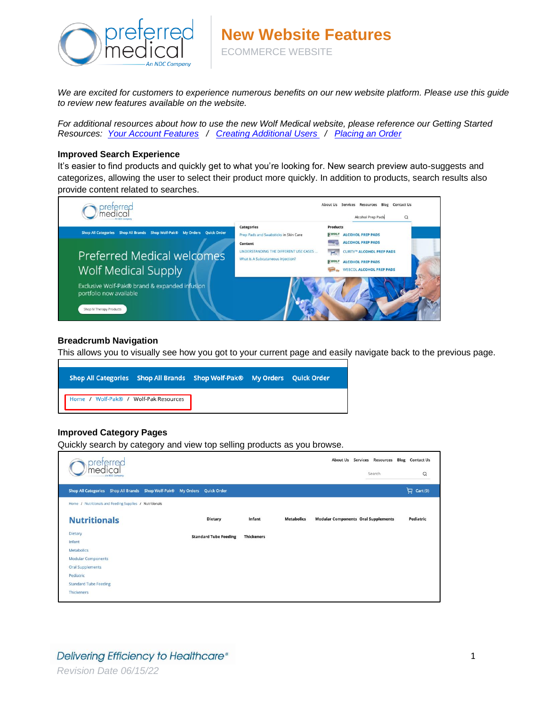

*We are excited for customers to experience numerous benefits on our new website platform. Please use this guide to review new features available on the website.* 

*For additional resources about how to use the new Wolf Medical website, please reference our Getting Started Resources: [Your Account Features](https://www.ndc-inc.com/downloads/Preferred_AccountFeatures.pdf) / [Creating Additional Users](https://www.ndc-inc.com/downloads/Preferred_CreatingUsers.pdf) / [Placing an Order](https://www.ndc-inc.com/downloads/Preferred_PlacingOrders.pdf)* 

#### **Improved Search Experience**

It's easier to find products and quickly get to what you're looking for. New search preview auto-suggests and categorizes, allowing the user to select their product more quickly. In addition to products, search results also provide content related to searches.



#### **Breadcrumb Navigation**

This allows you to visually see how you got to your current page and easily navigate back to the previous page.



## **Improved Category Pages**

Quickly search by category and view top selling products as you browse.

| preterred<br>medical<br>n NDC Compan                    |                              |                   |                   | About Us Services Resources<br>Search      | <b>Blog</b> Contact Us<br>Q |
|---------------------------------------------------------|------------------------------|-------------------|-------------------|--------------------------------------------|-----------------------------|
| Shop All Categories Shop All Brands Shop Wolf-Pak®      | My Orders Quick Order        |                   |                   |                                            | Cart (0)                    |
| Home / Nutritionals and Feeding Supplies / Nutritionals |                              |                   |                   |                                            |                             |
| <b>Nutritionals</b>                                     | <b>Dietary</b>               | Infant            | <b>Metabolics</b> | <b>Modular Components Oral Supplements</b> | Pediatric                   |
| <b>Dietary</b>                                          | <b>Standard Tube Feeding</b> | <b>Thickeners</b> |                   |                                            |                             |
| Infant                                                  |                              |                   |                   |                                            |                             |
| Metabolics                                              |                              |                   |                   |                                            |                             |
| <b>Modular Components</b>                               |                              |                   |                   |                                            |                             |
| <b>Oral Supplements</b>                                 |                              |                   |                   |                                            |                             |
| Pediatric                                               |                              |                   |                   |                                            |                             |
| <b>Standard Tube Feeding</b>                            |                              |                   |                   |                                            |                             |
| Thickeners                                              |                              |                   |                   |                                            |                             |
|                                                         |                              |                   |                   |                                            |                             |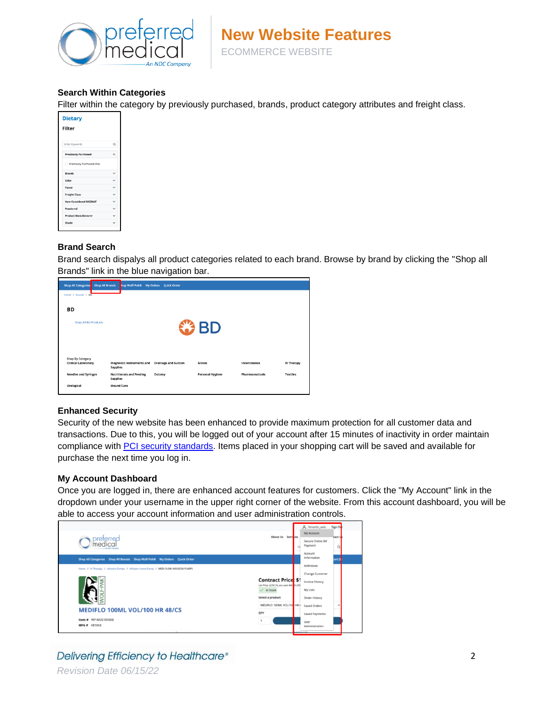

# **Search Within Categories**

Filter within the category by previously purchased, brands, product category attributes and freight class.

| <b>Dietary</b><br><b>Filter</b> |                          |
|---------------------------------|--------------------------|
| Enter Keywords                  | Q                        |
| <b>Previously Purchased</b>     | $\overline{\phantom{0}}$ |
| Previously Purchased Only       |                          |
| <b>Brands</b>                   | $\checkmark$             |
| Color                           |                          |
| Flavor                          | $\checkmark$             |
| <b>Freight Class</b>            | $\checkmark$             |
| <b>Item Considered HAZMAT</b>   | $\checkmark$             |
| Powdered                        | $\checkmark$             |
| <b>Product Manufacturer</b>     | $\checkmark$             |
| Shade                           | $\checkmark$             |
|                                 |                          |

# **Brand Search**

Brand search dispalys all product categories related to each brand. Browse by brand by clicking the "Shop all Brands" link in the blue navigation bar.

| <b>Shop All Categories</b><br><b>Shop All Brands</b>  | hop Wolf-Pak®                                        | My Orders<br><b>Quick Order</b> |                         |                        |                 |
|-------------------------------------------------------|------------------------------------------------------|---------------------------------|-------------------------|------------------------|-----------------|
| Home / Brands / BD                                    |                                                      |                                 |                         |                        |                 |
| <b>BD</b>                                             |                                                      |                                 |                         |                        |                 |
| <b>Shop All BD Products</b>                           |                                                      |                                 | $3$ BD                  |                        |                 |
| <b>Shop By Category</b><br><b>Clinical Laboratory</b> | <b>Diagnostic Instruments and</b><br><b>Supplies</b> | <b>Drainage and Suction</b>     | Gloves                  | Incontinence           | IV Therapy      |
| <b>Needles and Syringes</b>                           | <b>Nutritionals and Feeding</b><br><b>Supplies</b>   | Ostomy                          | <b>Personal Hygiene</b> | <b>Pharmaceuticals</b> | <b>Textiles</b> |
| <b>Urological</b>                                     | <b>Wound Care</b>                                    |                                 |                         |                        |                 |

# **Enhanced Security**

Security of the new website has been enhanced to provide maximum protection for all customer data and transactions. Due to this, you will be logged out of your account after 15 minutes of inactivity in order maintain compliance with [PCI security standards.](https://www.pcisecuritystandards.org/security_standards/index.php) Items placed in your shopping cart will be saved and available for purchase the next time you log in.

## **My Account Dashboard**

Once you are logged in, there are enhanced account features for customers. Click the "My Account" link in the dropdown under your username in the upper right corner of the website. From this account dashboard, you will be able to access your account information and user administration controls.

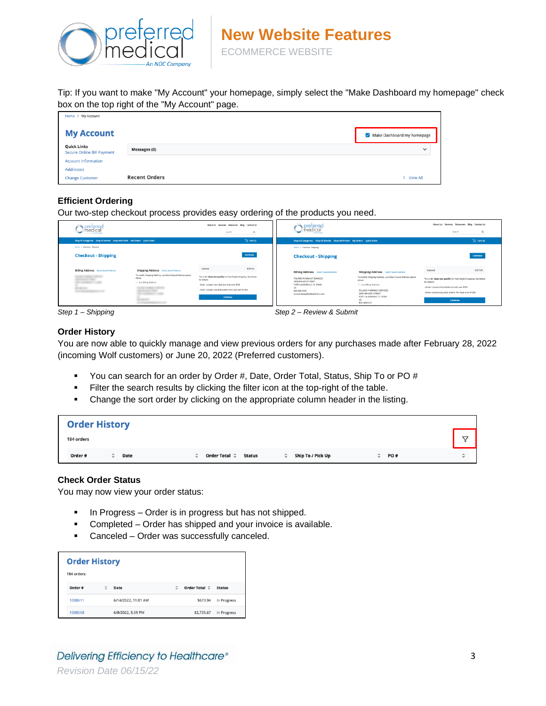

Tip: If you want to make "My Account" your homepage, simply select the "Make Dashboard my homepage" check box on the top right of the "My Account" page.

| Home / My Account                                       |                      |                                             |
|---------------------------------------------------------|----------------------|---------------------------------------------|
| <b>My Account</b>                                       |                      | $\triangleright$ Make Dashboard my homepage |
| <b>Quick Links</b><br><b>Secure Online Bill Payment</b> | <b>Messages (0)</b>  | $\checkmark$                                |
| <b>Account Information</b>                              |                      |                                             |
| <b>Addresses</b>                                        |                      |                                             |
| <b>Change Customer</b>                                  | <b>Recent Orders</b> | > View All                                  |

# **Efficient Ordering**

Our two-step checkout process provides easy ordering of the products you need.

| preterred<br>medical<br>the Mint Common                                                                |                                                                                                                                                                                                     | Search                                                                                                                                                                                                            | About Us Services Resources Blog Contact Us<br>$\circ$ | preterred<br>)medical                                                                                                                                                                             |                                                                                                                                                                                                                                                            |                                                                                                                                                                                                                   | About Us Services Resources Blog Contact Us<br>$\Omega$<br>Search |
|--------------------------------------------------------------------------------------------------------|-----------------------------------------------------------------------------------------------------------------------------------------------------------------------------------------------------|-------------------------------------------------------------------------------------------------------------------------------------------------------------------------------------------------------------------|--------------------------------------------------------|---------------------------------------------------------------------------------------------------------------------------------------------------------------------------------------------------|------------------------------------------------------------------------------------------------------------------------------------------------------------------------------------------------------------------------------------------------------------|-------------------------------------------------------------------------------------------------------------------------------------------------------------------------------------------------------------------|-------------------------------------------------------------------|
| Shop All Categories Shop All Brands Shop Wolf-Pak® My Orders Quick Order<br>Home / Checksut - Shipping |                                                                                                                                                                                                     |                                                                                                                                                                                                                   | $\Box$ Cart (2)                                        | Shop All Categories Shop All Brands Shop Wolf-Pak® My Orders Quick Order                                                                                                                          |                                                                                                                                                                                                                                                            |                                                                                                                                                                                                                   | $\Box$ Cart (2)                                                   |
| <b>Checkout - Shipping</b>                                                                             |                                                                                                                                                                                                     |                                                                                                                                                                                                                   | Continue                                               | Home / Checkout - Shipping<br><b>Checkout - Shipping</b>                                                                                                                                          |                                                                                                                                                                                                                                                            |                                                                                                                                                                                                                   | Continue                                                          |
| <b>Billing Address</b> Select Saved Address<br><b>PARTS</b><br><b>Continued</b>                        | <b>Shipping Address</b> Select Saved Address<br>To modify Shipping Address, use Select Saved Address option<br>above.<br>Use Billing Address<br>and company company<br><b>TELEVISION</b><br>$1 - 1$ | Subtotal<br>The order does not qualify for free freight/shipping. See below<br>for details:<br>- Order contains Non-Bulk trormal) over \$350<br>- Order contains any Bulk and/or Per-Case over \$1500<br>Continue | \$337.04                                               | <b>Billing Address</b> Select Saved Address<br><b>POLARIS PHARMACY SERVICES</b><br>2900 NW 60TH STREET<br>FORT LAUDERDALE, FL 33309<br><b>US</b><br>800-589-9747<br>accountspayable@polarisrx.com | <b>Shipping Address</b> Select Saved Address<br>To modify Shipping Address, use Select Saved Address option<br>above.<br>Use Billing Address<br>POLARIS PHARMACY SERVICES<br>2900 NW 60TH STREET<br>FORT LAUDERDALE, FL 33309<br><b>US</b><br>800-589-9747 | Subtocal<br>The order does not qualify for Free freight/shipping. See below<br>for details:<br>- Order contains Non-Bulk (normal) over \$350<br>- Order contains any Bulk and/or Per-Case over \$1500<br>Continue | \$337.04                                                          |

*Step 1 – Shipping Step 2 – Review & Submit*

## **Order History**

You are now able to quickly manage and view previous orders for any purchases made after February 28, 2022 (incoming Wolf customers) or June 20, 2022 (Preferred customers).

- You can search for an order by Order #, Date, Order Total, Status, Ship To or PO #
- **Example 1** Filter the search results by clicking the filter icon at the top-right of the table.
- **•** Change the sort order by clicking on the appropriate column header in the listing.

| <b>Order History</b>         |                                                                                                                                 |                    |
|------------------------------|---------------------------------------------------------------------------------------------------------------------------------|--------------------|
| 184 orders                   |                                                                                                                                 | ▽                  |
| Order #<br>Date<br>$\hat{z}$ | Order Total $\hat{\downarrow}$<br>Ship To / Pick Up<br>PO#<br>Status<br>$\hat{\phantom{a}}$<br>$\hat{\phantom{a}}$<br>$\hat{u}$ | $\hat{\mathbf{C}}$ |

## **Check Order Status**

You may now view your order status:

- In Progress Order is in progress but has not shipped.
- Completed Order has shipped and your invoice is available.
- Canceled Order was successfully canceled.

| <b>Order History</b><br>184 orders |   |                     |   |               |               |
|------------------------------------|---|---------------------|---|---------------|---------------|
| Order #                            | Ĉ | Date                | ٥ | Order Total C | <b>Status</b> |
| 1008611                            |   | 6/14/2022, 11:01 AM |   | \$673.94      | In Progress   |
| 1008568                            |   | 6/8/2022, 5:59 PM   |   | \$2,735.67    | In Progress   |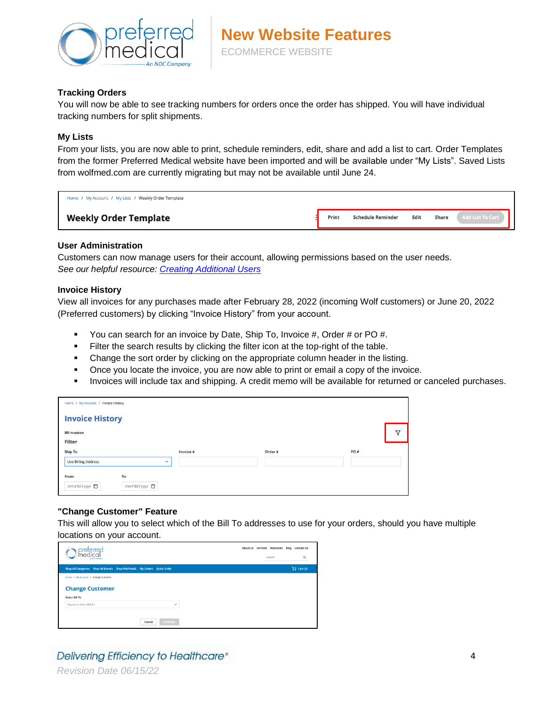

## **Tracking Orders**

You will now be able to see tracking numbers for orders once the order has shipped. You will have individual tracking numbers for split shipments.

## **My Lists**

From your lists, you are now able to print, schedule reminders, edit, share and add a list to cart. Order Templates from the former Preferred Medical website have been imported and will be available under "My Lists". Saved Lists from wolfmed.com are currently migrating but may not be available until June 24.

| Home / My Account / My Lists / Weekly Order Template |       |                          |      |       |                  |
|------------------------------------------------------|-------|--------------------------|------|-------|------------------|
| <b>Weekly Order Template</b>                         | Print | <b>Schedule Reminder</b> | Edit | Share | Add List To Cart |

## **User Administration**

Customers can now manage users for their account, allowing permissions based on the user needs. *See our helpful resource: [Creating Additional Users](https://www.ndc-inc.com/downloads/Preferred_CreatingUsers.pdf)*

#### **Invoice History**

View all invoices for any purchases made after February 28, 2022 (incoming Wolf customers) or June 20, 2022 (Preferred customers) by clicking "Invoice History" from your account.

- You can search for an invoice by Date, Ship To, Invoice #, Order # or PO #.
- **Example 1** Filter the search results by clicking the filter icon at the top-right of the table.
- Change the sort order by clicking on the appropriate column header in the listing.
- Once you locate the invoice, you are now able to print or email a copy of the invoice.
- Invoices will include tax and shipping. A credit memo will be available for returned or canceled purchases.

| Home / My Account / Invoice History        |           |         |     |   |
|--------------------------------------------|-----------|---------|-----|---|
| <b>Invoice History</b>                     |           |         |     |   |
| 80 Invoices                                |           |         |     | ∇ |
| Filter                                     |           |         |     |   |
| Ship To                                    | Invoice # | Order # | PO# |   |
| <b>Use Billing Address</b><br>$\checkmark$ |           |         |     |   |
| To<br>From<br>mm/dd/yyyy 自<br>mm/dd/yyyy 自 |           |         |     |   |

## **"Change Customer" Feature**

This will allow you to select which of the Bill To addresses to use for your orders, should you have multiple locations on your account.

| reterred<br><b>An MOC Company</b>                                        |  | About Us Services Resources Blog Contact Us<br>Search | $\alpha$                                   |
|--------------------------------------------------------------------------|--|-------------------------------------------------------|--------------------------------------------|
| Shop All Categories Shop All Brands Shop Wolf-Pak® My Orders Quick Order |  |                                                       | $\overleftrightarrow{\mathbf{C}}$ Cart (2) |
| Home / My Account / Change Customer                                      |  |                                                       |                                            |
| <b>Change Customer</b>                                                   |  |                                                       |                                            |
| Select Bill To                                                           |  |                                                       |                                            |
| Search or Select Bill To<br>$\checkmark$                                 |  |                                                       |                                            |
|                                                                          |  |                                                       |                                            |
| Continue<br>Cancel                                                       |  |                                                       |                                            |

# Delivering Efficiency to Healthcare®